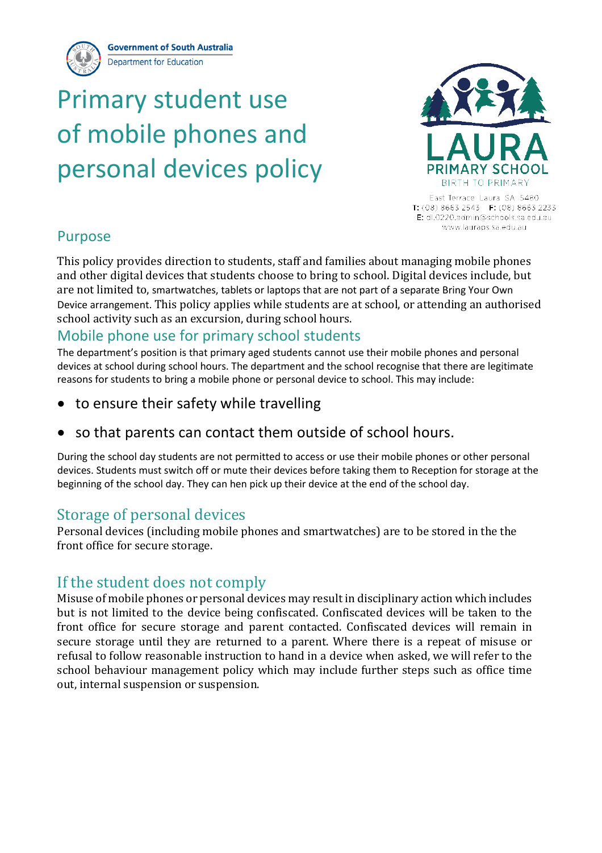**Government of South Australia Department for Education** 

# Primary student use of mobile phones and personal devices policy



East Terrace Laura SA 5480 T: (08) 8663 2543 F: (08) 8663 2233 E: dl.0220.admin@schools.sa.edu.au www.lauraps.sa.edu.au

## Purpose

This policy provides direction to students, staff and families about managing mobile phones and other digital devices that students choose to bring to school. Digital devices include, but are not limited to, smartwatches, tablets or laptops that are not part of a separate Bring Your Own Device arrangement. This policy applies while students are at school, or attending an authorised school activity such as an excursion, during school hours.

## Mobile phone use for primary school students

The department's position is that primary aged students cannot use their mobile phones and personal devices at school during school hours. The department and the school recognise that there are legitimate reasons for students to bring a mobile phone or personal device to school. This may include:

- to ensure their safety while travelling
- so that parents can contact them outside of school hours.

During the school day students are not permitted to access or use their mobile phones or other personal devices. Students must switch off or mute their devices before taking them to Reception for storage at the beginning of the school day. They can hen pick up their device at the end of the school day.

# Storage of personal devices

Personal devices (including mobile phones and smartwatches) are to be stored in the the front office for secure storage.

# If the student does not comply

Misuse of mobile phones or personal devices may result in disciplinary action which includes but is not limited to the device being confiscated. Confiscated devices will be taken to the front office for secure storage and parent contacted. Confiscated devices will remain in secure storage until they are returned to a parent. Where there is a repeat of misuse or refusal to follow reasonable instruction to hand in a device when asked, we will refer to the school behaviour management policy which may include further steps such as office time out, internal suspension or suspension.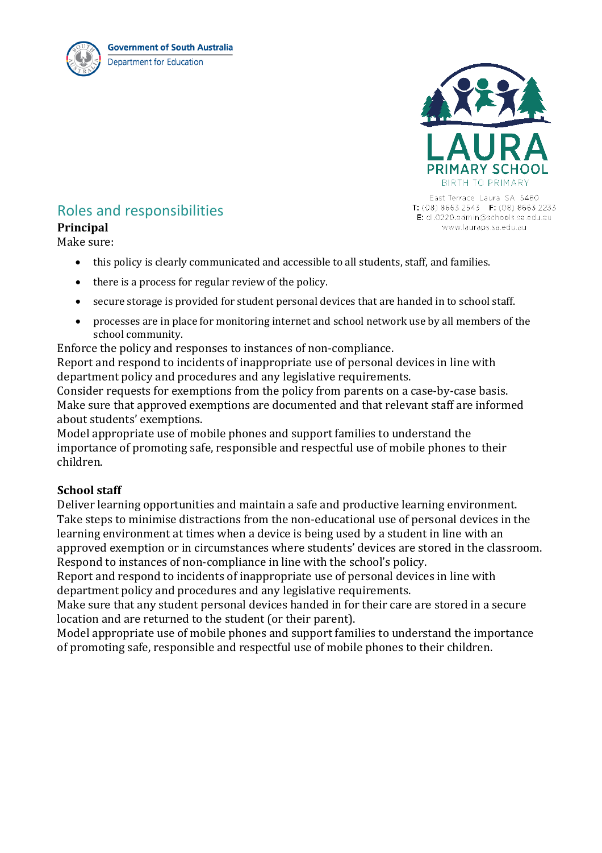



East Terrace Laura SA 5480 T: (08) 8663 2543 F: (08) 8663 2233 E: dl.0220.admin@schools.sa.edu.au www.lauraps.sa.edu.au-

## Roles and responsibilities

#### **Principal**

Make sure:

- this policy is clearly communicated and accessible to all students, staff, and families.
- there is a process for regular review of the policy.
- secure storage is provided for student personal devices that are handed in to school staff.
- processes are in place for monitoring internet and school network use by all members of the school community.

Enforce the policy and responses to instances of non-compliance.

Report and respond to incidents of inappropriate use of personal devices in line with department policy and procedures and any legislative requirements.

Consider requests for exemptions from the policy from parents on a case-by-case basis. Make sure that approved exemptions are documented and that relevant staff are informed about students' exemptions.

Model appropriate use of mobile phones and support families to understand the importance of promoting safe, responsible and respectful use of mobile phones to their children.

#### **School staff**

Deliver learning opportunities and maintain a safe and productive learning environment. Take steps to minimise distractions from the non-educational use of personal devices in the learning environment at times when a device is being used by a student in line with an approved exemption or in circumstances where students' devices are stored in the classroom. Respond to instances of non-compliance in line with the school's policy.

Report and respond to incidents of inappropriate use of personal devices in line with department policy and procedures and any legislative requirements.

Make sure that any student personal devices handed in for their care are stored in a secure location and are returned to the student (or their parent).

Model appropriate use of mobile phones and support families to understand the importance of promoting safe, responsible and respectful use of mobile phones to their children.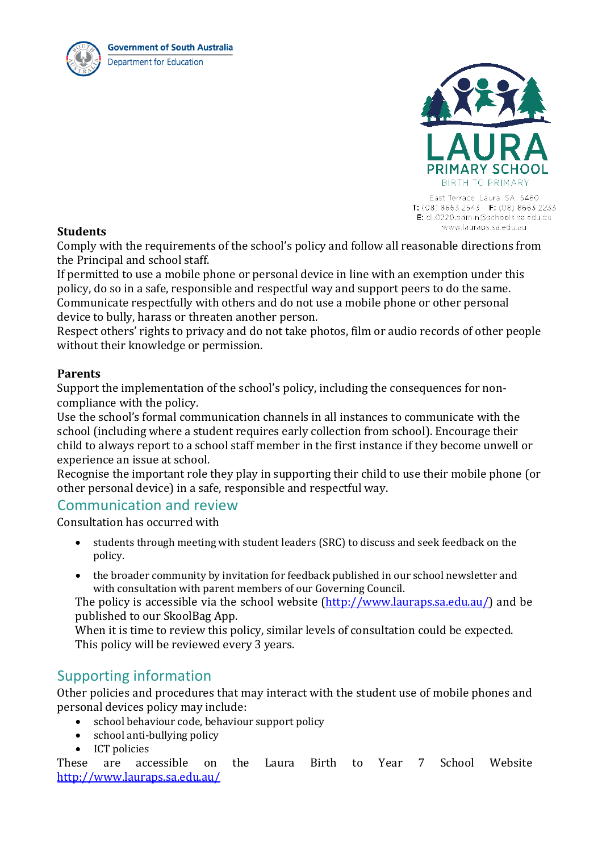



East Terrace Laura SA 5480 T:  $(08) 8663 2543$  F:  $(08) 8663 2233$ E: dl.0220.admin@schools.sa.edu.au www.lauraps.sa.edu.au

#### **Students**

Comply with the requirements of the school's policy and follow all reasonable directions from the Principal and school staff.

If permitted to use a mobile phone or personal device in line with an exemption under this policy, do so in a safe, responsible and respectful way and support peers to do the same. Communicate respectfully with others and do not use a mobile phone or other personal device to bully, harass or threaten another person.

Respect others' rights to privacy and do not take photos, film or audio records of other people without their knowledge or permission.

#### **Parents**

Support the implementation of the school's policy, including the consequences for noncompliance with the policy.

Use the school's formal communication channels in all instances to communicate with the school (including where a student requires early collection from school). Encourage their child to always report to a school staff member in the first instance if they become unwell or experience an issue at school.

Recognise the important role they play in supporting their child to use their mobile phone (or other personal device) in a safe, responsible and respectful way.

### Communication and review

Consultation has occurred with

- students through meeting with student leaders (SRC) to discuss and seek feedback on the policy.
- the broader community by invitation for feedback published in our school newsletter and with consultation with parent members of our Governing Council.

The policy is accessible via the school website [\(http://www.lauraps.sa.edu.au/\)](http://www.lauraps.sa.edu.au/) and be published to our SkoolBag App.

When it is time to review this policy, similar levels of consultation could be expected. This policy will be reviewed every 3 years.

## Supporting information

Other policies and procedures that may interact with the student use of mobile phones and personal devices policy may include:

- school behaviour code, behaviour support policy<br>• school anti-bullying policy
- school anti-bullying policy
- 

• ICT policies<br>These are accessible These are accessible on the Laura Birth to Year 7 School Website <http://www.lauraps.sa.edu.au/>